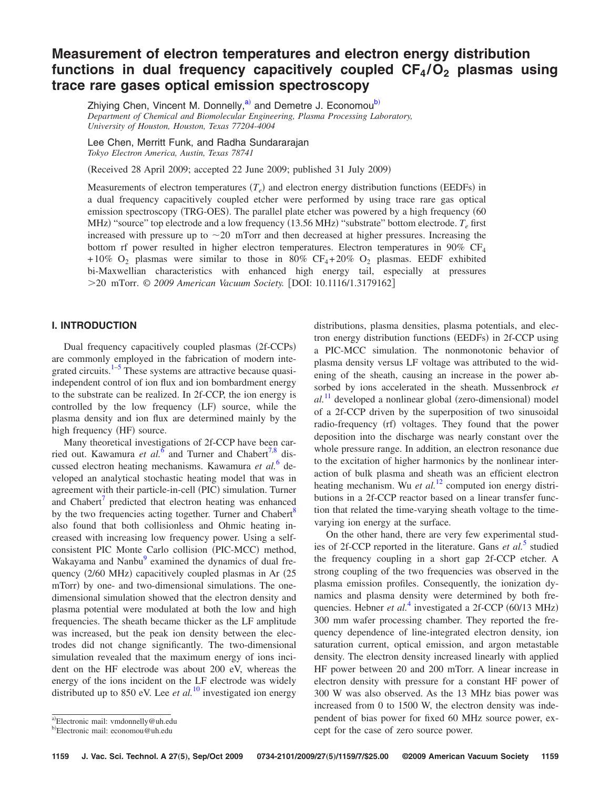# **Measurement of electron temperatures and electron energy distribution** functions in dual frequency capacitively coupled  $CF_4/O_2$  plasmas using **trace rare gases optical emission spectroscopy**

Zhiying Chen, Vincent M. Donnelly,<sup>a)</sup> and Demetre J. Economou<sup>b)</sup> *Department of Chemical and Biomolecular Engineering, Plasma Processing Laboratory, University of Houston, Houston, Texas 77204-4004*

Lee Chen, Merritt Funk, and Radha Sundararajan *Tokyo Electron America, Austin, Texas 78741*

Received 28 April 2009; accepted 22 June 2009; published 31 July 2009-

Measurements of electron temperatures  $(T_e)$  and electron energy distribution functions (EEDFs) in a dual frequency capacitively coupled etcher were performed by using trace rare gas optical emission spectroscopy (TRG-OES). The parallel plate etcher was powered by a high frequency (60 MHz) "source" top electrode and a low frequency (13.56 MHz) "substrate" bottom electrode.  $T_e$  first increased with pressure up to  $\sim$  20 mTorr and then decreased at higher pressures. Increasing the bottom rf power resulted in higher electron temperatures. Electron temperatures in  $90\%$  CF<sub>4</sub>  $+10\%$  O<sub>2</sub> plasmas were similar to those in 80% CF<sub>4</sub>+20% O<sub>2</sub> plasmas. EEDF exhibited bi-Maxwellian characteristics with enhanced high energy tail, especially at pressures >20 mTorr. © 2009 American Vacuum Society. [DOI: 10.1116/1.3179162]

## **I. INTRODUCTION**

Dual frequency capacitively coupled plasmas (2f-CCPs) are commonly employed in the fabrication of modern integrated circuits. $1-5$  These systems are attractive because quasiindependent control of ion flux and ion bombardment energy to the substrate can be realized. In 2f-CCP, the ion energy is controlled by the low frequency (LF) source, while the plasma density and ion flux are determined mainly by the high frequency (HF) source.

Many theoretical investigations of 2f-CCP have been carried out. Kawamura *et al.*<sup>[6](#page-6-2)</sup> and Turner and Chabert<sup>7,[8](#page-6-4)</sup> discussed electron heating mechanisms. Kawamura *et al.*[6](#page-6-2) developed an analytical stochastic heating model that was in agreement with their particle-in-cell (PIC) simulation. Turner and Chabert<sup>'</sup> predicted that electron heating was enhanced by the two frequencies acting together. Turner and Chabert<sup>8</sup> also found that both collisionless and Ohmic heating increased with increasing low frequency power. Using a selfconsistent PIC Monte Carlo collision (PIC-MCC) method, Wakayama and Nanbu<sup>9</sup> examined the dynamics of dual frequency (2/60 MHz) capacitively coupled plasmas in Ar (25 mTorr) by one- and two-dimensional simulations. The onedimensional simulation showed that the electron density and plasma potential were modulated at both the low and high frequencies. The sheath became thicker as the LF amplitude was increased, but the peak ion density between the electrodes did not change significantly. The two-dimensional simulation revealed that the maximum energy of ions incident on the HF electrode was about 200 eV, whereas the energy of the ions incident on the LF electrode was widely distributed up to 850 eV. Lee *et al.*[10](#page-6-6) investigated ion energy

distributions, plasma densities, plasma potentials, and electron energy distribution functions (EEDFs) in 2f-CCP using a PIC-MCC simulation. The nonmonotonic behavior of

plasma density versus LF voltage was attributed to the widening of the sheath, causing an increase in the power absorbed by ions accelerated in the sheath. Mussenbrock *et*  $al.$ <sup>[11](#page-6-7)</sup> developed a nonlinear global (zero-dimensional) model of a 2f-CCP driven by the superposition of two sinusoidal radio-frequency (rf) voltages. They found that the power deposition into the discharge was nearly constant over the whole pressure range. In addition, an electron resonance due to the excitation of higher harmonics by the nonlinear interaction of bulk plasma and sheath was an efficient electron heating mechanism. Wu *et al.*<sup>[12](#page-6-8)</sup> computed ion energy distributions in a 2f-CCP reactor based on a linear transfer function that related the time-varying sheath voltage to the timevarying ion energy at the surface. On the other hand, there are very few experimental stud-

ies of 2f-CCP reported in the literature. Gans *et al.*<sup>[5](#page-6-1)</sup> studied the frequency coupling in a short gap 2f-CCP etcher. A strong coupling of the two frequencies was observed in the plasma emission profiles. Consequently, the ionization dynamics and plasma density were determined by both frequencies. Hebner *et al.*<sup>[4](#page-6-9)</sup> investigated a 2f-CCP (60/13 MHz) 300 mm wafer processing chamber. They reported the frequency dependence of line-integrated electron density, ion saturation current, optical emission, and argon metastable density. The electron density increased linearly with applied HF power between 20 and 200 mTorr. A linear increase in electron density with pressure for a constant HF power of 300 W was also observed. As the 13 MHz bias power was increased from 0 to 1500 W, the electron density was independent of bias power for fixed 60 MHz source power, except for the case of zero source power.

<span id="page-0-0"></span>a)Electronic mail: vmdonnelly@uh.edu

<span id="page-0-1"></span><sup>&</sup>lt;sup>b)</sup>Electronic mail: economou@uh.edu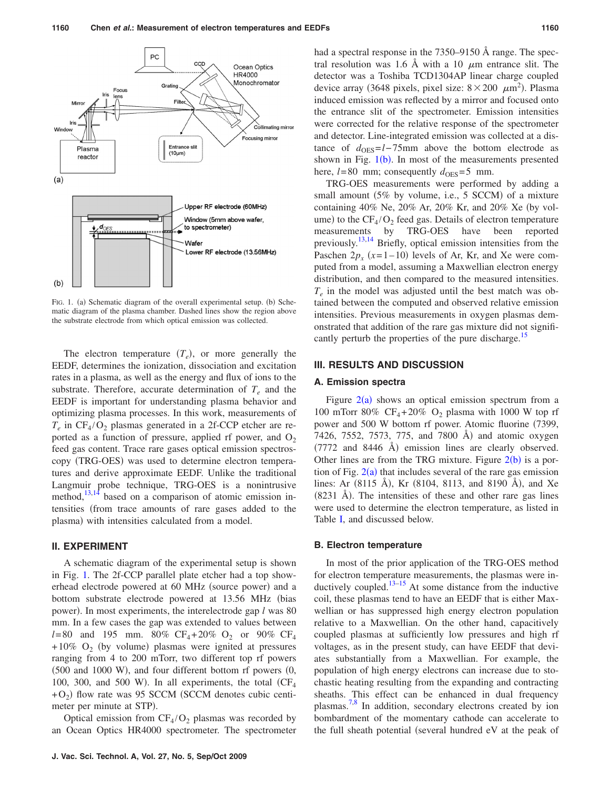<span id="page-1-0"></span>

FIG. 1. (a) Schematic diagram of the overall experimental setup. (b) Schematic diagram of the plasma chamber. Dashed lines show the region above the substrate electrode from which optical emission was collected.

The electron temperature  $(T_e)$ , or more generally the EEDF, determines the ionization, dissociation and excitation rates in a plasma, as well as the energy and flux of ions to the substrate. Therefore, accurate determination of  $T_e$  and the EEDF is important for understanding plasma behavior and optimizing plasma processes. In this work, measurements of  $T_e$  in  $CF_4/O_2$  plasmas generated in a 2f-CCP etcher are reported as a function of pressure, applied rf power, and  $O_2$ feed gas content. Trace rare gases optical emission spectroscopy (TRG-OES) was used to determine electron temperatures and derive approximate EEDF. Unlike the traditional Langmuir probe technique, TRG-OES is a nonintrusive method,<sup>13[,14](#page-6-11)</sup> based on a comparison of atomic emission intensities from trace amounts of rare gases added to the plasma) with intensities calculated from a model.

### **II. EXPERIMENT**

A schematic diagram of the experimental setup is shown in Fig. [1.](#page-1-0) The 2f-CCP parallel plate etcher had a top showerhead electrode powered at 60 MHz (source power) and a bottom substrate electrode powered at 13.56 MHz (bias power). In most experiments, the interelectrode gap *l* was 80 mm. In a few cases the gap was extended to values between  $l = 80$  and 195 mm. 80% CF<sub>4</sub>+20% O<sub>2</sub> or 90% CF<sub>4</sub> +10% O<sub>2</sub> (by volume) plasmas were ignited at pressures ranging from 4 to 200 mTorr, two different top rf powers  $(500$  and  $1000$  W), and four different bottom rf powers  $(0, 0)$ 100, 300, and 500 W). In all experiments, the total  $(CF<sub>4</sub>)$  $+O_2$ ) flow rate was 95 SCCM (SCCM denotes cubic centimeter per minute at STP).

Optical emission from  $CF_4/O_2$  plasmas was recorded by an Ocean Optics HR4000 spectrometer. The spectrometer had a spectral response in the 7350–9150 Å range. The spectral resolution was 1.6 Å with a 10  $\mu$ m entrance slit. The detector was a Toshiba TCD1304AP linear charge coupled device array (3648 pixels, pixel size:  $8 \times 200 \ \mu m^2$ ). Plasma induced emission was reflected by a mirror and focused onto the entrance slit of the spectrometer. Emission intensities were corrected for the relative response of the spectrometer and detector. Line-integrated emission was collected at a distance of  $d_{\text{OES}}=l-75$ mm above the bottom electrode as shown in Fig.  $1(b)$  $1(b)$ . In most of the measurements presented here,  $l = 80$  mm; consequently  $d_{\text{OES}} = 5$  mm.

TRG-OES measurements were performed by adding a small amount (5% by volume, i.e., 5 SCCM) of a mixture containing 40% Ne,  $20\%$  Ar,  $20\%$  Kr, and  $20\%$  Xe (by volume) to the  $CF_4/O_2$  feed gas. Details of electron temperature measurements by TRG-OES have been reported previously[.13](#page-6-10)[,14](#page-6-11) Briefly, optical emission intensities from the Paschen  $2p_x$  ( $x=1-10$ ) levels of Ar, Kr, and Xe were computed from a model, assuming a Maxwellian electron energy distribution, and then compared to the measured intensities. *Te* in the model was adjusted until the best match was obtained between the computed and observed relative emission intensities. Previous measurements in oxygen plasmas demonstrated that addition of the rare gas mixture did not significantly perturb the properties of the pure discharge.<sup>15</sup>

#### **III. RESULTS AND DISCUSSION**

## **A. Emission spectra**

Figure  $2(a)$  $2(a)$  shows an optical emission spectrum from a 100 mTorr 80%  $CF_4 + 20\%$  O<sub>2</sub> plasma with 1000 W top rf power and 500 W bottom rf power. Atomic fluorine (7399, 7426, 7552, 7573, 775, and 7800 Å) and atomic oxygen  $(7772 \text{ and } 8446 \text{ Å})$  emission lines are clearly observed. Other lines are from the TRG mixture. Figure  $2(b)$  $2(b)$  is a portion of Fig.  $2(a)$  $2(a)$  that includes several of the rare gas emission lines: Ar (8115 Å), Kr (8104, 8113, and 8190 Å), and Xe  $(8231 \text{ Å})$ . The intensities of these and other rare gas lines were used to determine the electron temperature, as listed in Table [I,](#page-2-1) and discussed below.

#### **B. Electron temperature**

In most of the prior application of the TRG-OES method for electron temperature measurements, the plasmas were inductively coupled. $13-15$  $13-15$  At some distance from the inductive coil, these plasmas tend to have an EEDF that is either Maxwellian or has suppressed high energy electron population relative to a Maxwellian. On the other hand, capacitively coupled plasmas at sufficiently low pressures and high rf voltages, as in the present study, can have EEDF that deviates substantially from a Maxwellian. For example, the population of high energy electrons can increase due to stochastic heating resulting from the expanding and contracting sheaths. This effect can be enhanced in dual frequency plasmas[.7,](#page-6-3)[8](#page-6-4) In addition, secondary electrons created by ion bombardment of the momentary cathode can accelerate to the full sheath potential (several hundred eV at the peak of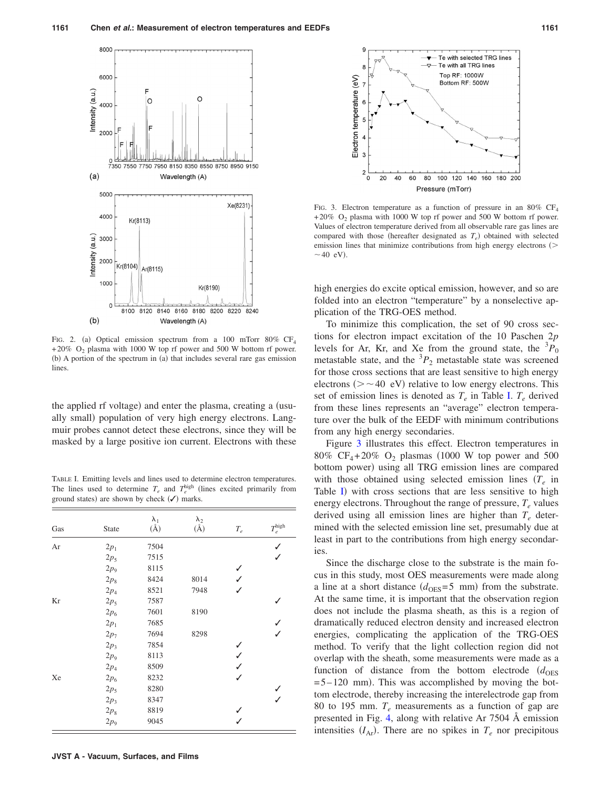<span id="page-2-0"></span>

FIG. 2. (a) Optical emission spectrum from a 100 mTorr 80% CF<sub>4</sub> +20% O<sub>2</sub> plasma with 1000 W top rf power and 500 W bottom rf power. (b) A portion of the spectrum in (a) that includes several rare gas emission lines

the applied rf voltage) and enter the plasma, creating a (usually small) population of very high energy electrons. Langmuir probes cannot detect these electrons, since they will be masked by a large positive ion current. Electrons with these

<span id="page-2-1"></span>TABLE I. Emitting levels and lines used to determine electron temperatures. The lines used to determine  $T_e$  and  $T_e^{\text{high}}$  (lines excited primarily from ground states) are shown by check  $(\checkmark)$  marks.

| Gas | State  | $\lambda_1$<br>$(\AA)$ | $\lambda_2$<br>$(\AA)$ | $T_e$        | $T_e^{\rm high}$ |
|-----|--------|------------------------|------------------------|--------------|------------------|
| Ar  | $2p_1$ | 7504                   |                        |              |                  |
|     | $2p_5$ | 7515                   |                        |              | ✓                |
|     | $2p_9$ | 8115                   |                        |              |                  |
|     | $2p_8$ | 8424                   | 8014                   | ✓            |                  |
|     | $2p_4$ | 8521                   | 7948                   |              |                  |
| Kr  | $2p_5$ | 7587                   |                        |              | J                |
|     | $2p_6$ | 7601                   | 8190                   |              |                  |
|     | $2p_1$ | 7685                   |                        |              |                  |
|     | $2p_7$ | 7694                   | 8298                   |              | ✓                |
|     | $2p_3$ | 7854                   |                        |              |                  |
|     | $2p_9$ | 8113                   |                        | $\checkmark$ |                  |
|     | $2p_4$ | 8509                   |                        | ✓            |                  |
| Xe  | $2p_6$ | 8232                   |                        | J            |                  |
|     | $2p_5$ | 8280                   |                        |              |                  |
|     | $2p_3$ | 8347                   |                        |              |                  |
|     | $2p_8$ | 8819                   |                        |              |                  |
|     | $2p_9$ | 9045                   |                        |              |                  |

<span id="page-2-2"></span>

FIG. 3. Electron temperature as a function of pressure in an 80% CF<sub>4</sub>  $+20\%$  O<sub>2</sub> plasma with 1000 W top rf power and 500 W bottom rf power. Values of electron temperature derived from all observable rare gas lines are compared with those (hereafter designated as  $T_e$ ) obtained with selected emission lines that minimize contributions from high energy electrons (>  $\sim$  40 eV).

high energies do excite optical emission, however, and so are folded into an electron "temperature" by a nonselective application of the TRG-OES method.

To minimize this complication, the set of 90 cross sections for electron impact excitation of the 10 Paschen 2*p* levels for Ar, Kr, and Xe from the ground state, the  ${}^{3}P_{0}$ metastable state, and the  ${}^{3}P_2$  metastable state was screened for those cross sections that are least sensitive to high energy electrons ( $>$   $\sim$  40 eV) relative to low energy electrons. This set of emission lines is denoted as  $T_e$  in Table [I.](#page-2-1)  $T_e$  derived from these lines represents an "average" electron temperature over the bulk of the EEDF with minimum contributions from any high energy secondaries.

Figure [3](#page-2-2) illustrates this effect. Electron temperatures in 80%  $CF_4 + 20\%$  O<sub>2</sub> plasmas (1000 W top power and 500 bottom power) using all TRG emission lines are compared with those obtained using selected emission lines  $(T_e$  in Table [I](#page-2-1)) with cross sections that are less sensitive to high energy electrons. Throughout the range of pressure, *Te* values derived using all emission lines are higher than  $T_e$  determined with the selected emission line set, presumably due at least in part to the contributions from high energy secondaries.

Since the discharge close to the substrate is the main focus in this study, most OES measurements were made along a line at a short distance  $(d_{\text{OES}}=5 \text{ mm})$  from the substrate. At the same time, it is important that the observation region does not include the plasma sheath, as this is a region of dramatically reduced electron density and increased electron energies, complicating the application of the TRG-OES method. To verify that the light collection region did not overlap with the sheath, some measurements were made as a function of distance from the bottom electrode  $(d_{OES})$  $=5-120$  mm). This was accomplished by moving the bottom electrode, thereby increasing the interelectrode gap from 80 to 195 mm. *Te* measurements as a function of gap are presented in Fig. [4,](#page-3-0) along with relative Ar 7504 Å emission intensities  $(I_{Ar})$ . There are no spikes in  $T_e$  nor precipitous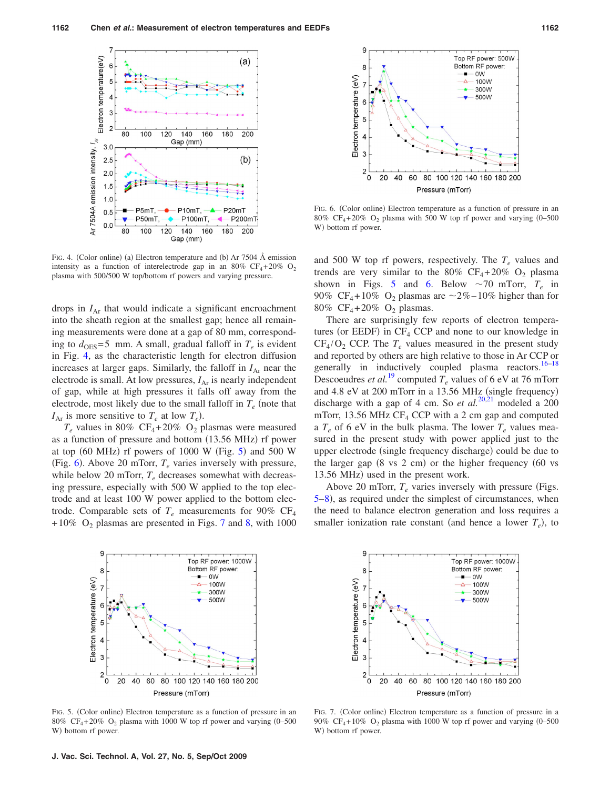<span id="page-3-0"></span>

FIG. 4. (Color online) (a) Electron temperature and (b) Ar 7504 Å emission intensity as a function of interelectrode gap in an 80%  $CF_4+20\%$  O<sub>2</sub> plasma with 500/500 W top/bottom rf powers and varying pressure.

drops in  $I_{\text{Ar}}$  that would indicate a significant encroachment into the sheath region at the smallest gap; hence all remaining measurements were done at a gap of 80 mm, corresponding to  $d_{\text{OES}}=5$  mm. A small, gradual falloff in  $T_e$  is evident in Fig. [4,](#page-3-0) as the characteristic length for electron diffusion increases at larger gaps. Similarly, the falloff in  $I_{Ar}$  near the electrode is small. At low pressures,  $I_{Ar}$  is nearly independent of gap, while at high pressures it falls off away from the electrode, most likely due to the small falloff in  $T_e$  (note that  $I_{\text{Ar}}$  is more sensitive to  $T_e$  at low  $T_e$ ).

 $T_e$  values in 80% CF<sub>4</sub>+20% O<sub>2</sub> plasmas were measured as a function of pressure and bottom (13.56 MHz) rf power at top  $(60 \text{ MHz})$  rf powers of  $1000 \text{ W}$  (Fig. [5](#page-3-1)) and  $500 \text{ W}$ (Fig. [6](#page-3-2)). Above 20 mTorr,  $T_e$  varies inversely with pressure, while below 20 mTorr,  $T_e$  decreases somewhat with decreasing pressure, especially with 500 W applied to the top electrode and at least 100 W power applied to the bottom electrode. Comparable sets of  $T_e$  measurements for 90% CF<sub>4</sub> +10% O<sub>2</sub> plasmas are presented in Figs. [7](#page-3-3) and [8,](#page-4-0) with 1000

<span id="page-3-2"></span>

FIG. 6. (Color online) Electron temperature as a function of pressure in an 80% CF<sub>4</sub>+20% O<sub>2</sub> plasma with 500 W top rf power and varying  $(0-500)$ W) bottom rf power.

and 500 W top rf powers, respectively. The  $T_e$  values and trends are very similar to the 80%  $CF_4 + 20\%$  O<sub>2</sub> plasma shown in Figs. [5](#page-3-1) and [6.](#page-3-2) Below  $\sim$ 70 mTorr,  $T_e$  in 90% CF<sub>4</sub>+10% O<sub>2</sub> plasmas are  $\sim$ 2%–10% higher than for 80% CF<sub>4</sub>+20% O<sub>2</sub> plasmas.

There are surprisingly few reports of electron temperatures (or EEDF) in  $CF_4$  CCP and none to our knowledge in  $CF_4/O_2$  CCP. The  $T_e$  values measured in the present study and reported by others are high relative to those in Ar CCP or generally in inductively coupled plasma reactors.<sup>16[–18](#page-6-14)</sup> Descoeudres *et al.*<sup>[19](#page-6-15)</sup> computed  $T_e$  values of 6 eV at 76 mTorr and 4.8 eV at 200 mTorr in a 13.56 MHz (single frequency) discharge with a gap of 4 cm. So *et al.*<sup>[20,](#page-6-16)[21](#page-6-17)</sup> modeled a 200 mTorr, 13.56 MHz  $CF_4$  CCP with a 2 cm gap and computed a  $T_e$  of 6 eV in the bulk plasma. The lower  $T_e$  values measured in the present study with power applied just to the upper electrode (single frequency discharge) could be due to the larger gap  $(8 \text{ vs } 2 \text{ cm})$  or the higher frequency  $(60 \text{ vs } 2 \text{ cm})$ 13.56 MHz) used in the present work.

Above 20 mTorr,  $T_e$  varies inversely with pressure (Figs. [5–](#page-3-1)[8](#page-4-0)), as required under the simplest of circumstances, when the need to balance electron generation and loss requires a smaller ionization rate constant (and hence a lower  $T_e$ ), to

<span id="page-3-1"></span>

FIG. 5. (Color online) Electron temperature as a function of pressure in an 80% CF<sub>4</sub>+20% O<sub>2</sub> plasma with 1000 W top rf power and varying  $(0-500)$ W) bottom rf power.

<span id="page-3-3"></span>

FIG. 7. (Color online) Electron temperature as a function of pressure in a 90% CF<sub>4</sub>+10%  $O_2$  plasma with 1000 W top rf power and varying (0–500) W) bottom rf power.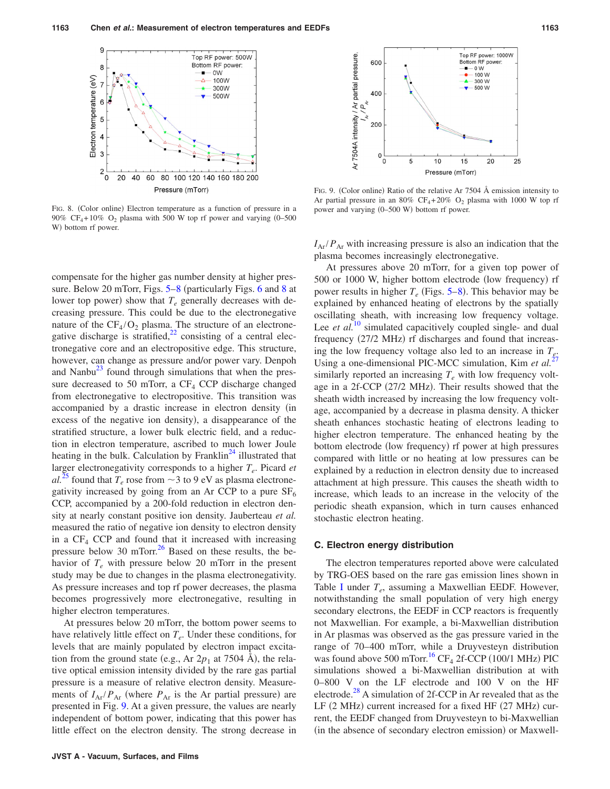<span id="page-4-0"></span>

FIG. 8. (Color online) Electron temperature as a function of pressure in a 90% CF<sub>4</sub>+10% O<sub>2</sub> plasma with 500 W top rf power and varying  $(0-500)$ W) bottom rf power.

compensate for the higher gas number density at higher pressure. Below 20 mTorr, Figs.  $5-8$  $5-8$  (particularly Figs. [6](#page-3-2) and 8 at lower top power) show that  $T_e$  generally decreases with decreasing pressure. This could be due to the electronegative nature of the  $CF_4/O_2$  plasma. The structure of an electronegative discharge is stratified, $^{22}$  consisting of a central electronegative core and an electropositive edge. This structure, however, can change as pressure and/or power vary. Denpoh and Nanbu $^{23}$  found through simulations that when the pressure decreased to 50 mTorr, a  $CF<sub>4</sub>$  CCP discharge changed from electronegative to electropositive. This transition was accompanied by a drastic increase in electron density (in excess of the negative ion density), a disappearance of the stratified structure, a lower bulk electric field, and a reduction in electron temperature, ascribed to much lower Joule heating in the bulk. Calculation by Franklin<sup>24</sup> illustrated that larger electronegativity corresponds to a higher  $T_e$ . Picard *et*  $al^{25}$  $al^{25}$  $al^{25}$  found that  $T_e$  rose from  $\sim$  3 to 9 eV as plasma electronegativity increased by going from an Ar CCP to a pure  $SF<sub>6</sub>$ CCP, accompanied by a 200-fold reduction in electron density at nearly constant positive ion density. Jauberteau *et al.* measured the ratio of negative ion density to electron density in a  $CF_4$  CCP and found that it increased with increasing pressure below 30 mTorr. $^{26}$  Based on these results, the behavior of  $T_e$  with pressure below 20 mTorr in the present study may be due to changes in the plasma electronegativity. As pressure increases and top rf power decreases, the plasma becomes progressively more electronegative, resulting in higher electron temperatures.

At pressures below 20 mTorr, the bottom power seems to have relatively little effect on  $T_e$ . Under these conditions, for levels that are mainly populated by electron impact excitation from the ground state (e.g., Ar  $2p_1$  at 7504 Å), the relative optical emission intensity divided by the rare gas partial pressure is a measure of relative electron density. Measurements of  $I_{Ar}/P_{Ar}$  (where  $P_{Ar}$  is the Ar partial pressure) are presented in Fig. [9.](#page-4-1) At a given pressure, the values are nearly independent of bottom power, indicating that this power has little effect on the electron density. The strong decrease in

<span id="page-4-1"></span>

FIG. 9. (Color online) Ratio of the relative Ar 7504 Å emission intensity to Ar partial pressure in an 80%  $CF_4 + 20\%$  O<sub>2</sub> plasma with 1000 W top rf power and varying (0-500 W) bottom rf power.

 $I_{Ar}/P_{Ar}$  with increasing pressure is also an indication that the plasma becomes increasingly electronegative.

At pressures above 20 mTorr, for a given top power of 500 or 1000 W, higher bottom electrode (low frequency) rf power results in higher  $T_e$  (Figs. [5](#page-3-1)[–8](#page-4-0)). This behavior may be explained by enhanced heating of electrons by the spatially oscillating sheath, with increasing low frequency voltage. Lee *et al.*<sup>[10](#page-6-6)</sup> simulated capacitively coupled single- and dual frequency (27/2 MHz) rf discharges and found that increasing the low frequency voltage also led to an increase in  $T_{\varepsilon}$ . Using a one-dimensional PIC-MCC simulation, Kim *et al.*<sup>[27](#page-6-23)</sup> similarly reported an increasing  $T_e$  with low frequency voltage in a 2f-CCP (27/2 MHz). Their results showed that the sheath width increased by increasing the low frequency voltage, accompanied by a decrease in plasma density. A thicker sheath enhances stochastic heating of electrons leading to higher electron temperature. The enhanced heating by the bottom electrode (low frequency) rf power at high pressures compared with little or no heating at low pressures can be explained by a reduction in electron density due to increased attachment at high pressure. This causes the sheath width to increase, which leads to an increase in the velocity of the periodic sheath expansion, which in turn causes enhanced stochastic electron heating.

#### **C. Electron energy distribution**

The electron temperatures reported above were calculated by TRG-OES based on the rare gas emission lines shown in Table [I](#page-2-1) under  $T_e$ , assuming a Maxwellian EEDF. However, notwithstanding the small population of very high energy secondary electrons, the EEDF in CCP reactors is frequently not Maxwellian. For example, a bi-Maxwellian distribution in Ar plasmas was observed as the gas pressure varied in the range of 70–400 mTorr, while a Druyvesteyn distribution was found above 500 mTorr.<sup>16</sup> CF<sub>4</sub> 2f-CCP (100/1 MHz) PIC simulations showed a bi-Maxwellian distribution at with 0–800 V on the LF electrode and 100 V on the HF electrode. $^{28}$  A simulation of 2f-CCP in Ar revealed that as the LF (2 MHz) current increased for a fixed HF (27 MHz) current, the EEDF changed from Druyvesteyn to bi-Maxwellian (in the absence of secondary electron emission) or Maxwell-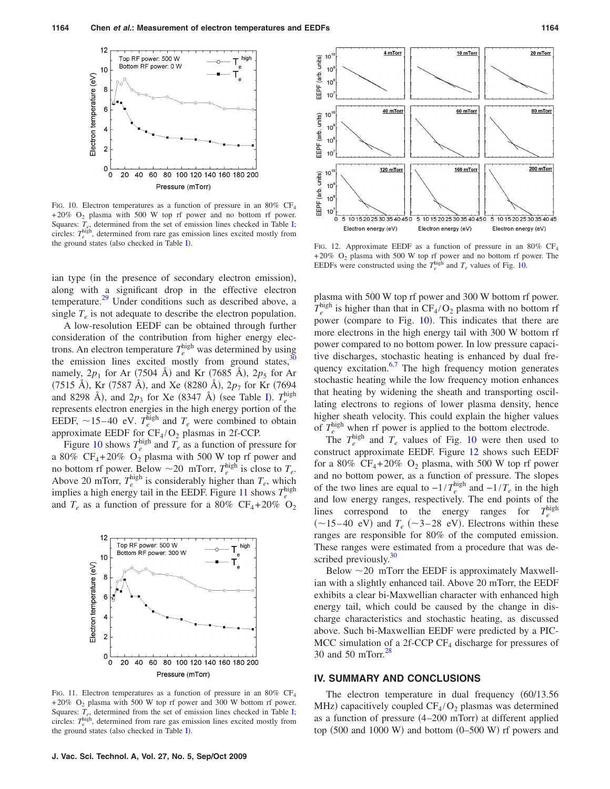<span id="page-5-0"></span>

FIG. 10. Electron temperatures as a function of pressure in an  $80\%$  CF<sub>4</sub> +20% O<sub>2</sub> plasma with 500 W top rf power and no bottom rf power. Squares:  $T_e$ , determined from the set of emission lines checked in Table [I;](#page-2-1) circles:  $T_e^{\text{high}}$ , determined from rare gas emission lines excited mostly from the ground states (also checked in Table [I](#page-2-1)).

ian type (in the presence of secondary electron emission), along with a significant drop in the effective electron temperature.<sup>29</sup> Under conditions such as described above, a single  $T_e$  is not adequate to describe the electron population.

A low-resolution EEDF can be obtained through further consideration of the contribution from higher energy electrons. An electron temperature  $T_e^{\text{high}}$  was determined by using the emission lines excited mostly from ground states, $30$ namely,  $2p_1$  for Ar (7504 Å) and Kr (7685 Å),  $2p_5$  for Ar (7515 Å), Kr (7587 Å), and Xe (8280 Å), 2 $p_7$  for Kr (7694) and 8298 Å), and  $2p_3$  for Xe (8347 Å) (see Table [I](#page-2-1)).  $T_e^{\text{high}}$ represents electron energies in the high energy portion of the EEDF,  $\sim$ 15–40 eV.  $T_e^{\text{high}}$  and  $T_e$  were combined to obtain approximate EEDF for  $CF_4/O_2$  plasmas in 2f-CCP.

Figure [10](#page-5-0) shows  $T_e^{\text{high}}$  and  $T_e$  as a function of pressure for a 80%  $CF_4 + 20\%$  O<sub>2</sub> plasma with 500 W top rf power and no bottom rf power. Below  $\sim$  20 mTorr,  $T_e^{\text{high}}$  is close to  $T_e$ . Above 20 mTorr,  $T_e^{\text{high}}$  is considerably higher than  $T_e$ , which implies a high energy tail in the EEDF. Figure [11](#page-5-1) shows  $T_e^{\text{high}}$ and  $T_e$  as a function of pressure for a 80% CF<sub>4</sub>+20% O<sub>2</sub>

<span id="page-5-1"></span>

FIG. 11. Electron temperatures as a function of pressure in an 80% CF<sub>4</sub>  $+20\%$  O<sub>2</sub> plasma with 500 W top rf power and 300 W bottom rf power. Squares:  $T_e$ , determined from the set of emission lines checked in Table [I;](#page-2-1) circles:  $T_e^{\text{high}}$ , determined from rare gas emission lines excited mostly from the ground states (also checked in Table [I](#page-2-1)).

<span id="page-5-2"></span>

FIG. 12. Approximate EEDF as a function of pressure in an 80% CF<sub>4</sub>  $+20\%$  O<sub>2</sub> plasma with 500 W top rf power and no bottom rf power. The EEDFs were constructed using the  $T_e^{\text{high}}$  and  $T_e$  values of Fig. [10.](#page-5-0)

plasma with 500 W top rf power and 300 W bottom rf power.  $T_e^{\text{high}}$  is higher than that in  $CF_4/O_2$  plasma with no bottom rf power (compare to Fig. [10](#page-5-0)). This indicates that there are more electrons in the high energy tail with 300 W bottom rf power compared to no bottom power. In low pressure capacitive discharges, stochastic heating is enhanced by dual fre-quency excitation.<sup>6[,7](#page-6-3)</sup> The high frequency motion generates stochastic heating while the low frequency motion enhances that heating by widening the sheath and transporting oscillating electrons to regions of lower plasma density, hence higher sheath velocity. This could explain the higher values of  $T_e^{\text{high}}$  when rf power is applied to the bottom electrode.

The  $T_e^{\text{high}}$  and  $T_e$  values of Fig. [10](#page-5-0) were then used to construct approximate EEDF. Figure [12](#page-5-2) shows such EEDF for a 80%  $CF_4 + 20\%$  O<sub>2</sub> plasma, with 500 W top rf power and no bottom power, as a function of pressure. The slopes of the two lines are equal to  $-1/T_e^{\text{high}}$  and  $-1/T_e$  in the high and low energy ranges, respectively. The end points of the lines correspond to the energy ranges for  $T_a^{\rm high}$  $(\sim 15-40 \text{ eV})$  and  $T_e$  ( $\sim 3-28 \text{ eV}$ ). Electrons within these ranges are responsible for 80% of the computed emission. These ranges were estimated from a procedure that was described previously. $30$ 

Below  $\sim$  20 mTorr the EEDF is approximately Maxwellian with a slightly enhanced tail. Above 20 mTorr, the EEDF exhibits a clear bi-Maxwellian character with enhanced high energy tail, which could be caused by the change in discharge characteristics and stochastic heating, as discussed above. Such bi-Maxwellian EEDF were predicted by a PIC-MCC simulation of a 2f-CCP  $CF_4$  discharge for pressures of 30 and 50 mTorr. $28$ 

#### **IV. SUMMARY AND CONCLUSIONS**

The electron temperature in dual frequency (60/13.56) MHz) capacitively coupled  $CF_4/O_2$  plasmas was determined as a function of pressure (4-200 mTorr) at different applied top  $(500 \text{ and } 1000 \text{ W})$  and bottom  $(0-500 \text{ W})$  rf powers and